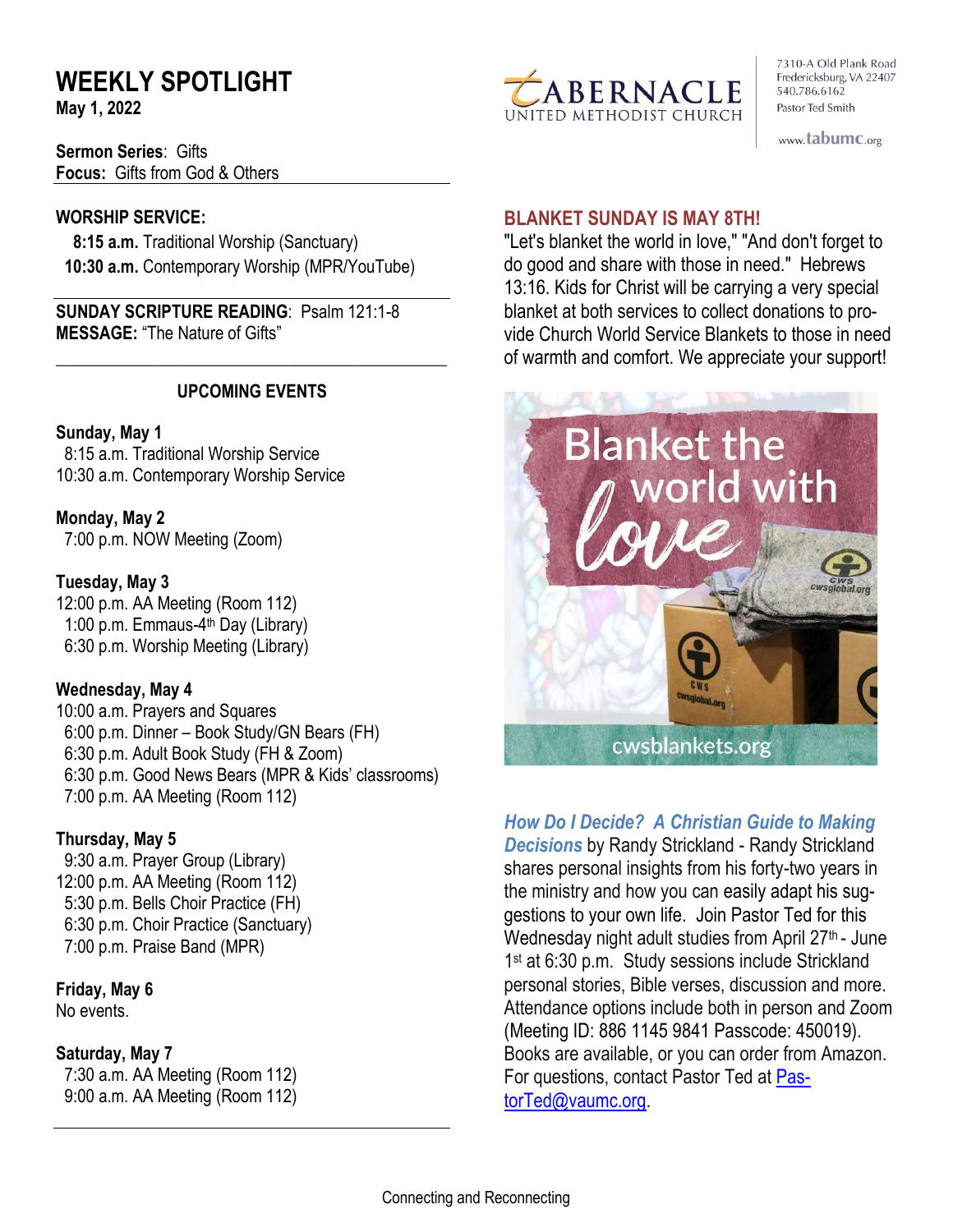# **WEEKLY SPOTLIGHT**

**May 1, 2022** 

**Sermon Series**: Gifts **Focus:** Gifts from God & Others

#### **WORSHIP SERVICE:**

 **8:15 a.m.** Traditional Worship (Sanctuary)  **10:30 a.m.** Contemporary Worship (MPR/YouTube)

**SUNDAY SCRIPTURE READING**: Psalm 121:1-8 **MESSAGE:** "The Nature of Gifts"

#### **UPCOMING EVENTS**

\_\_\_\_\_\_\_\_\_\_\_\_\_\_\_\_\_\_\_\_\_\_\_\_\_\_\_\_\_\_\_\_\_\_\_\_\_\_\_\_\_\_\_\_\_\_

#### **Sunday, May 1**

8:15 a.m. Traditional Worship Service 10:30 a.m. Contemporary Worship Service

**Monday, May 2** 7:00 p.m. NOW Meeting (Zoom)

#### **Tuesday, May 3**

12:00 p.m. AA Meeting (Room 112) 1:00 p.m. Emmaus-4<sup>th</sup> Day (Library) 6:30 p.m. Worship Meeting (Library)

#### **Wednesday, May 4**

10:00 a.m. Prayers and Squares 6:00 p.m. Dinner – Book Study/GN Bears (FH) 6:30 p.m. Adult Book Study (FH & Zoom) 6:30 p.m. Good News Bears (MPR & Kids' classrooms) 7:00 p.m. AA Meeting (Room 112)

#### **Thursday, May 5**

9:30 a.m. Prayer Group (Library) 12:00 p.m. AA Meeting (Room 112) 5:30 p.m. Bells Choir Practice (FH) 6:30 p.m. Choir Practice (Sanctuary) 7:00 p.m. Praise Band (MPR)

# **Friday, May 6**

No events.

#### **Saturday, May 7**

 7:30 a.m. AA Meeting (Room 112) 9:00 a.m. AA Meeting (Room 112)



7310-A Old Plank Road Fredericksburg, VA 22407 540.786.6162 Pastor Ted Smith

www.tabumc.org

#### **BLANKET SUNDAY IS MAY 8TH!**

"Let's blanket the world in love," "And don't forget to do good and share with those in need." Hebrews 13:16. Kids for Christ will be carrying a very special blanket at both services to collect donations to provide Church World Service Blankets to those in need of warmth and comfort. We appreciate your support!



*How Do I Decide? A Christian Guide to Making Decisions* by Randy Strickland - Randy Strickland shares personal insights from his forty-two years in the ministry and how you can easily adapt his suggestions to your own life. Join Pastor Ted for this Wednesday night adult studies from April  $27<sup>th</sup>$ - June 1 st at 6:30 p.m. Study sessions include Strickland personal stories, Bible verses, discussion and more. Attendance options include both in person and Zoom (Meeting ID: 886 1145 9841 Passcode: 450019). Books are available, or you can order from Amazon. For questions, contact Pastor Ted at [Pas](mailto:PastorTed@vaumc.org)[torTed@vaumc.org.](mailto:PastorTed@vaumc.org)